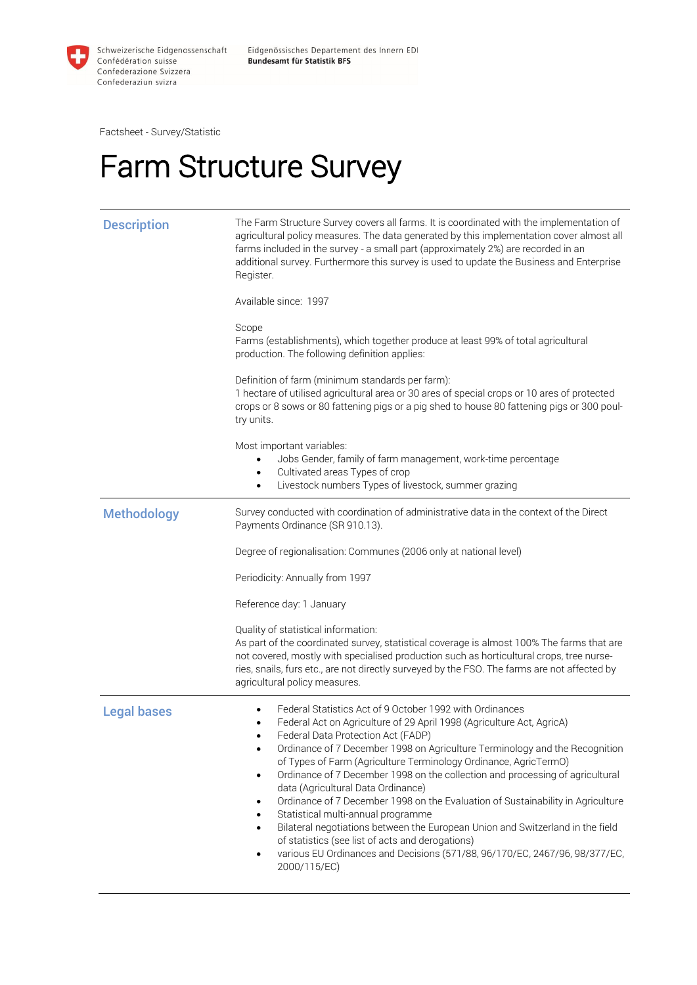

Factsheet - Survey/Statistic

## Farm Structure Survey

| <b>Description</b> | The Farm Structure Survey covers all farms. It is coordinated with the implementation of<br>agricultural policy measures. The data generated by this implementation cover almost all<br>farms included in the survey - a small part (approximately 2%) are recorded in an<br>additional survey. Furthermore this survey is used to update the Business and Enterprise<br>Register.<br>Available since: 1997<br>Scope<br>Farms (establishments), which together produce at least 99% of total agricultural<br>production. The following definition applies:<br>Definition of farm (minimum standards per farm):<br>1 hectare of utilised agricultural area or 30 ares of special crops or 10 ares of protected<br>crops or 8 sows or 80 fattening pigs or a pig shed to house 80 fattening pigs or 300 poul-<br>try units.<br>Most important variables:              |
|--------------------|---------------------------------------------------------------------------------------------------------------------------------------------------------------------------------------------------------------------------------------------------------------------------------------------------------------------------------------------------------------------------------------------------------------------------------------------------------------------------------------------------------------------------------------------------------------------------------------------------------------------------------------------------------------------------------------------------------------------------------------------------------------------------------------------------------------------------------------------------------------------|
|                    | Jobs Gender, family of farm management, work-time percentage<br>Cultivated areas Types of crop<br>Livestock numbers Types of livestock, summer grazing<br>$\bullet$                                                                                                                                                                                                                                                                                                                                                                                                                                                                                                                                                                                                                                                                                                 |
| <b>Methodology</b> | Survey conducted with coordination of administrative data in the context of the Direct<br>Payments Ordinance (SR 910.13).                                                                                                                                                                                                                                                                                                                                                                                                                                                                                                                                                                                                                                                                                                                                           |
|                    | Degree of regionalisation: Communes (2006 only at national level)                                                                                                                                                                                                                                                                                                                                                                                                                                                                                                                                                                                                                                                                                                                                                                                                   |
|                    | Periodicity: Annually from 1997                                                                                                                                                                                                                                                                                                                                                                                                                                                                                                                                                                                                                                                                                                                                                                                                                                     |
|                    | Reference day: 1 January                                                                                                                                                                                                                                                                                                                                                                                                                                                                                                                                                                                                                                                                                                                                                                                                                                            |
|                    | Quality of statistical information:<br>As part of the coordinated survey, statistical coverage is almost 100% The farms that are<br>not covered, mostly with specialised production such as horticultural crops, tree nurse-<br>ries, snails, furs etc., are not directly surveyed by the FSO. The farms are not affected by<br>agricultural policy measures.                                                                                                                                                                                                                                                                                                                                                                                                                                                                                                       |
| <b>Legal bases</b> | Federal Statistics Act of 9 October 1992 with Ordinances<br>Federal Act on Agriculture of 29 April 1998 (Agriculture Act, AgricA)<br>Federal Data Protection Act (FADP)<br>Ordinance of 7 December 1998 on Agriculture Terminology and the Recognition<br>$\bullet$<br>of Types of Farm (Agriculture Terminology Ordinance, AgricTermO)<br>Ordinance of 7 December 1998 on the collection and processing of agricultural<br>$\bullet$<br>data (Agricultural Data Ordinance)<br>Ordinance of 7 December 1998 on the Evaluation of Sustainability in Agriculture<br>Statistical multi-annual programme<br>Bilateral negotiations between the European Union and Switzerland in the field<br>$\bullet$<br>of statistics (see list of acts and derogations)<br>various EU Ordinances and Decisions (571/88, 96/170/EC, 2467/96, 98/377/EC,<br>$\bullet$<br>2000/115/EC) |